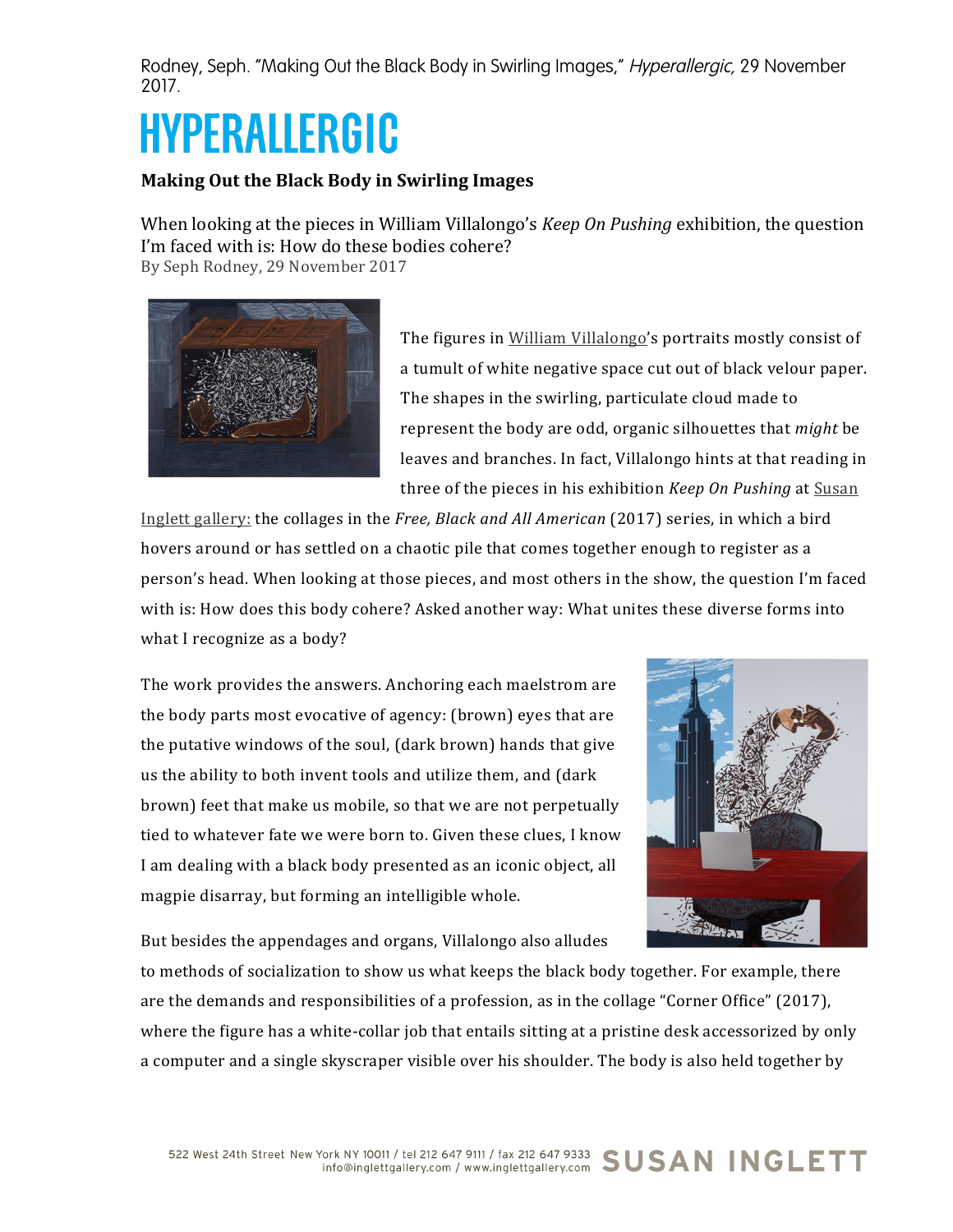Rodney, Seph. "Making Out the Black Body in Swirling Images," Hyperallergic, 29 November 2017.

## HYPERALLERGIC

## **Making Out the Black Body in Swirling Images**

When looking at the pieces in William Villalongo's *Keep On Pushing* exhibition, the question I'm faced with is: How do these bodies cohere? By Seph Rodney, 29 November 2017



The figures in William Villalongo's portraits mostly consist of a tumult of white negative space cut out of black velour paper. The shapes in the swirling, particulate cloud made to represent the body are odd, organic silhouettes that *might* be leaves and branches. In fact, Villalongo hints at that reading in three of the pieces in his exhibition *Keep On Pushing* at **Susan** 

Inglett gallery: the collages in the *Free, Black and All American* (2017) series, in which a bird hovers around or has settled on a chaotic pile that comes together enough to register as a person's head. When looking at those pieces, and most others in the show, the question I'm faced with is: How does this body cohere? Asked another way: What unites these diverse forms into what I recognize as a body?

The work provides the answers. Anchoring each maelstrom are the body parts most evocative of agency: (brown) eyes that are the putative windows of the soul, (dark brown) hands that give us the ability to both invent tools and utilize them, and (dark brown) feet that make us mobile, so that we are not perpetually tied to whatever fate we were born to. Given these clues, I know I am dealing with a black body presented as an iconic object, all magpie disarray, but forming an intelligible whole.



But besides the appendages and organs, Villalongo also alludes

to methods of socialization to show us what keeps the black body together. For example, there are the demands and responsibilities of a profession, as in the collage "Corner Office"  $(2017)$ , where the figure has a white-collar job that entails sitting at a pristine desk accessorized by only a computer and a single skyscraper visible over his shoulder. The body is also held together by